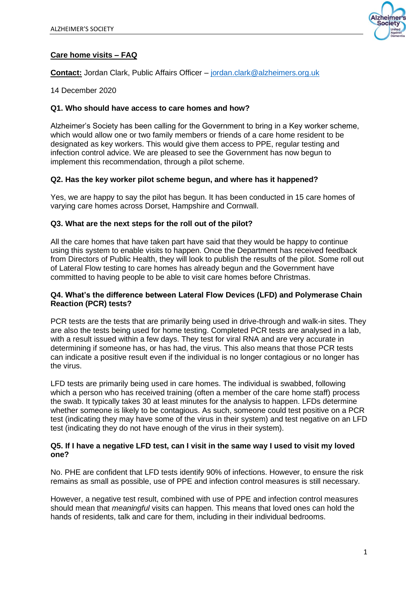

# **Care home visits – FAQ**

**Contact:** Jordan Clark, Public Affairs Officer – [jordan.clark@alzheimers.org.uk](mailto:jordan.clark@alzheimers.org.uk)

14 December 2020

#### **Q1. Who should have access to care homes and how?**

Alzheimer's Society has been calling for the Government to bring in a Key worker scheme, which would allow one or two family members or friends of a care home resident to be designated as key workers. This would give them access to PPE, regular testing and infection control advice. We are pleased to see the Government has now begun to implement this recommendation, through a pilot scheme.

### **Q2. Has the key worker pilot scheme begun, and where has it happened?**

Yes, we are happy to say the pilot has begun. It has been conducted in 15 care homes of varying care homes across Dorset, Hampshire and Cornwall.

#### **Q3. What are the next steps for the roll out of the pilot?**

All the care homes that have taken part have said that they would be happy to continue using this system to enable visits to happen. Once the Department has received feedback from Directors of Public Health, they will look to publish the results of the pilot. Some roll out of Lateral Flow testing to care homes has already begun and the Government have committed to having people to be able to visit care homes before Christmas.

#### **Q4. What's the difference between Lateral Flow Devices (LFD) and Polymerase Chain Reaction (PCR) tests?**

PCR tests are the tests that are primarily being used in drive-through and walk-in sites. They are also the tests being used for home testing. Completed PCR tests are analysed in a lab, with a result issued within a few days. They test for viral RNA and are very accurate in determining if someone has, or has had, the virus. This also means that those PCR tests can indicate a positive result even if the individual is no longer contagious or no longer has the virus.

LFD tests are primarily being used in care homes. The individual is swabbed, following which a person who has received training (often a member of the care home staff) process the swab. It typically takes 30 at least minutes for the analysis to happen. LFDs determine whether someone is likely to be contagious. As such, someone could test positive on a PCR test (indicating they may have some of the virus in their system) and test negative on an LFD test (indicating they do not have enough of the virus in their system).

#### **Q5. If I have a negative LFD test, can I visit in the same way I used to visit my loved one?**

No. PHE are confident that LFD tests identify 90% of infections. However, to ensure the risk remains as small as possible, use of PPE and infection control measures is still necessary.

However, a negative test result, combined with use of PPE and infection control measures should mean that *meaningful* visits can happen. This means that loved ones can hold the hands of residents, talk and care for them, including in their individual bedrooms.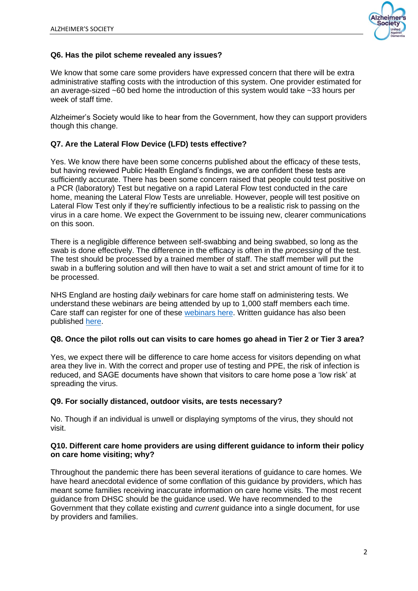

# **Q6. Has the pilot scheme revealed any issues?**

We know that some care some providers have expressed concern that there will be extra administrative staffing costs with the introduction of this system. One provider estimated for an average-sized  $\sim$ 60 bed home the introduction of this system would take  $\sim$ 33 hours per week of staff time.

Alzheimer's Society would like to hear from the Government, how they can support providers though this change.

# **Q7. Are the Lateral Flow Device (LFD) tests effective?**

Yes. We know there have been some concerns published about the efficacy of these tests, but having reviewed Public Health England's findings, we are confident these tests are sufficiently accurate. There has been some concern raised that people could test positive on a PCR (laboratory) Test but negative on a rapid Lateral Flow test conducted in the care home, meaning the Lateral Flow Tests are unreliable. However, people will test positive on Lateral Flow Test only if they're sufficiently infectious to be a realistic risk to passing on the virus in a care home. We expect the Government to be issuing new, clearer communications on this soon.

There is a negligible difference between self-swabbing and being swabbed, so long as the swab is done effectively. The difference in the efficacy is often in the *processing* of the test. The test should be processed by a trained member of staff. The staff member will put the swab in a buffering solution and will then have to wait a set and strict amount of time for it to be processed.

NHS England are hosting *daily* webinars for care home staff on administering tests. We understand these webinars are being attended by up to 1,000 staff members each time. Care staff can register for one of these [webinars here.](https://event.webcasts.com/starthere.jsp?ei=1408929&tp_key=d2a77c17e3) Written guidance has also been published [here.](https://www.gov.uk/government/publications/coronavirus-covid-19-lateral-flow-testing-of-visitors-in-care-homes)

### **Q8. Once the pilot rolls out can visits to care homes go ahead in Tier 2 or Tier 3 area?**

Yes, we expect there will be difference to care home access for visitors depending on what area they live in. With the correct and proper use of testing and PPE, the risk of infection is reduced, and SAGE documents have shown that visitors to care home pose a 'low risk' at spreading the virus.

### **Q9. For socially distanced, outdoor visits, are tests necessary?**

No. Though if an individual is unwell or displaying symptoms of the virus, they should not visit.

#### **Q10. Different care home providers are using different guidance to inform their policy on care home visiting; why?**

Throughout the pandemic there has been several iterations of guidance to care homes. We have heard anecdotal evidence of some conflation of this guidance by providers, which has meant some families receiving inaccurate information on care home visits. The most recent guidance from DHSC should be the guidance used. We have recommended to the Government that they collate existing and *current* guidance into a single document, for use by providers and families.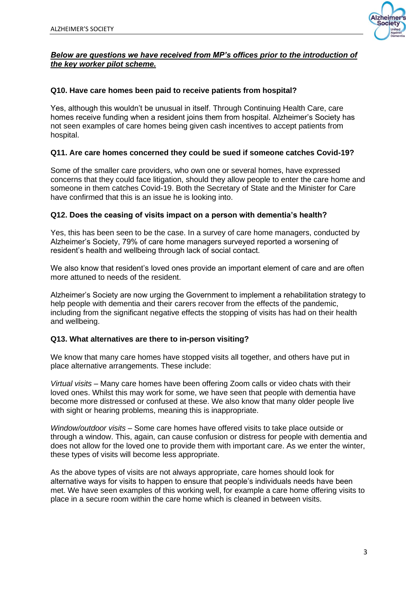

# *Below are questions we have received from MP's offices prior to the introduction of the key worker pilot scheme.*

# **Q10. Have care homes been paid to receive patients from hospital?**

Yes, although this wouldn't be unusual in itself. Through Continuing Health Care, care homes receive funding when a resident joins them from hospital. Alzheimer's Society has not seen examples of care homes being given cash incentives to accept patients from hospital.

# **Q11. Are care homes concerned they could be sued if someone catches Covid-19?**

Some of the smaller care providers, who own one or several homes, have expressed concerns that they could face litigation, should they allow people to enter the care home and someone in them catches Covid-19. Both the Secretary of State and the Minister for Care have confirmed that this is an issue he is looking into.

### **Q12. Does the ceasing of visits impact on a person with dementia's health?**

Yes, this has been seen to be the case. In a survey of care home managers, conducted by Alzheimer's Society, 79% of care home managers surveyed reported a worsening of resident's health and wellbeing through lack of social contact.

We also know that resident's loved ones provide an important element of care and are often more attuned to needs of the resident.

Alzheimer's Society are now urging the Government to implement a rehabilitation strategy to help people with dementia and their carers recover from the effects of the pandemic, including from the significant negative effects the stopping of visits has had on their health and wellbeing.

### **Q13. What alternatives are there to in-person visiting?**

We know that many care homes have stopped visits all together, and others have put in place alternative arrangements. These include:

*Virtual visits –* Many care homes have been offering Zoom calls or video chats with their loved ones. Whilst this may work for some, we have seen that people with dementia have become more distressed or confused at these. We also know that many older people live with sight or hearing problems, meaning this is inappropriate.

*Window/outdoor visits –* Some care homes have offered visits to take place outside or through a window. This, again, can cause confusion or distress for people with dementia and does not allow for the loved one to provide them with important care. As we enter the winter, these types of visits will become less appropriate.

As the above types of visits are not always appropriate, care homes should look for alternative ways for visits to happen to ensure that people's individuals needs have been met. We have seen examples of this working well, for example a care home offering visits to place in a secure room within the care home which is cleaned in between visits.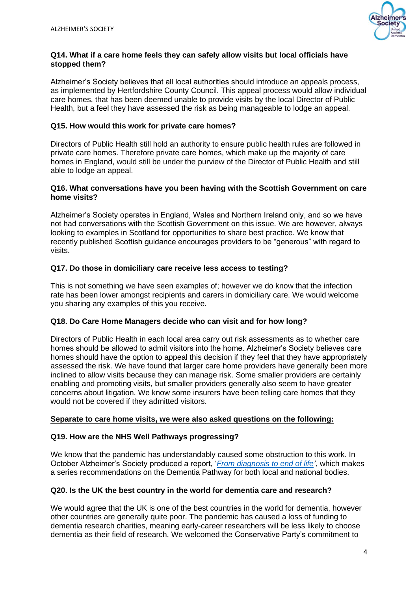

### **Q14. What if a care home feels they can safely allow visits but local officials have stopped them?**

Alzheimer's Society believes that all local authorities should introduce an appeals process, as implemented by Hertfordshire County Council. This appeal process would allow individual care homes, that has been deemed unable to provide visits by the local Director of Public Health, but a feel they have assessed the risk as being manageable to lodge an appeal.

# **Q15. How would this work for private care homes?**

Directors of Public Health still hold an authority to ensure public health rules are followed in private care homes. Therefore private care homes, which make up the majority of care homes in England, would still be under the purview of the Director of Public Health and still able to lodge an appeal.

#### **Q16. What conversations have you been having with the Scottish Government on care home visits?**

Alzheimer's Society operates in England, Wales and Northern Ireland only, and so we have not had conversations with the Scottish Government on this issue. We are however, always looking to examples in Scotland for opportunities to share best practice. We know that recently published Scottish guidance encourages providers to be "generous" with regard to visits.

# **Q17. Do those in domiciliary care receive less access to testing?**

This is not something we have seen examples of; however we do know that the infection rate has been lower amongst recipients and carers in domiciliary care. We would welcome you sharing any examples of this you receive.

### **Q18. Do Care Home Managers decide who can visit and for how long?**

Directors of Public Health in each local area carry out risk assessments as to whether care homes should be allowed to admit visitors into the home. Alzheimer's Society believes care homes should have the option to appeal this decision if they feel that they have appropriately assessed the risk. We have found that larger care home providers have generally been more inclined to allow visits because they can manage risk. Some smaller providers are certainly enabling and promoting visits, but smaller providers generally also seem to have greater concerns about litigation. We know some insurers have been telling care homes that they would not be covered if they admitted visitors.

### **Separate to care home visits, we were also asked questions on the following:**

# **Q19. How are the NHS Well Pathways progressing?**

We know that the pandemic has understandably caused some obstruction to this work. In October Alzheimer's Society produced a report, '*[From diagnosis to end of life'](https://www.alzheimers.org.uk/sites/default/files/2020-10/pathway_report_full_final.pdf),* which makes a series recommendations on the Dementia Pathway for both local and national bodies.

# **Q20. Is the UK the best country in the world for dementia care and research?**

We would agree that the UK is one of the best countries in the world for dementia, however other countries are generally quite poor. The pandemic has caused a loss of funding to dementia research charities, meaning early-career researchers will be less likely to choose dementia as their field of research. We welcomed the Conservative Party's commitment to